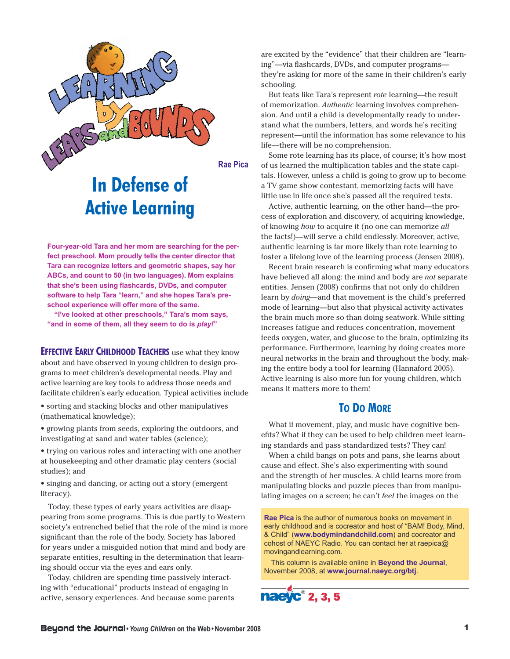

**Rae Pica**

## **In Defense of Active Learning**

**Four-year-old Tara and her mom are searching for the perfect preschool. Mom proudly tells the center director that Tara can recognize letters and geometric shapes, say her ABCs, and count to 50 (in two languages). Mom explains that she's been using flashcards, DVDs, and computer software to help Tara "learn, " and she hopes Tara's preschool experience will offer more of the same.**

**"I've looked at other preschools, " Tara's mom says, "and in some of them, all they seem to do is** *play!***"**

**EFFECTIVE EARLY CHILDHOOD TEACHERS** use what they know about and have observed in young children to design programs to meet children's developmental needs. Play and active learning are key tools to address those needs and facilitate children's early education. Typical activities include

• sorting and stacking blocks and other manipulatives (mathematical knowledge);

• growing plants from seeds, exploring the outdoors, and investigating at sand and water tables (science);

• trying on various roles and interacting with one another at housekeeping and other dramatic play centers (social studies); and

• singing and dancing, or acting out a story (emergent literacy).

Today, these types of early years activities are disappearing from some programs. This is due partly to Western society's entrenched belief that the role of the mind is more significant than the role of the body. Society has labored for years under a misguided notion that mind and body are separate entities, resulting in the determination that learning should occur via the eyes and ears only.

Today, children are spending time passively interacting with "educational" products instead of engaging in active, sensory experiences. And because some parents are excited by the "evidence" that their children are "learning"—via flashcards, DVDs, and computer programs they're asking for more of the same in their children's early schooling.

But feats like Tara's represent *rote* learning—the result of memorization. *Authentic* learning involves comprehension. And until a child is developmentally ready to understand what the numbers, letters, and words he's reciting represent—until the information has some relevance to his life—there will be no comprehension.

Some rote learning has its place, of course; it's how most of us learned the multiplication tables and the state capitals. However, unless a child is going to grow up to become a TV game show contestant, memorizing facts will have little use in life once she's passed all the required tests.

Active, authentic learning, on the other hand—the process of exploration and discovery, of acquiring knowledge, of knowing *how* to acquire it (no one can memorize *all* the facts!)—will serve a child endlessly. Moreover, active, authentic learning is far more likely than rote learning to foster a lifelong love of the learning process (Jensen 2008).

Recent brain research is confirming what many educators have believed all along: the mind and body are *not* separate entities. Jensen (2008) confirms that not only do children learn by *doing*—and that movement is the child's preferred mode of learning—but also that physical activity activates the brain much more so than doing seatwork. While sitting increases fatigue and reduces concentration, movement feeds oxygen, water, and glucose to the brain, optimizing its performance. Furthermore, learning by doing creates more neural networks in the brain and throughout the body, making the entire body a tool for learning (Hannaford 2005). Active learning is also more fun for young children, which means it matters more to them!

## **TO DO MORE**

What if movement, play, and music have cognitive benefits? What if they can be used to help children meet learning standards and pass standardized tests? They can!

When a child bangs on pots and pans, she learns about cause and effect. She's also experimenting with sound and the strength of her muscles. A child learns more from manipulating blocks and puzzle pieces than from manipulating images on a screen; he can't *feel* the images on the

**Rae Pica** is the author of numerous books on movement in early childhood and is cocreator and host of "BAM! Body, Mind, & Child" (**www.bodymindandchild.com**) and cocreator and cohost of NAEYC Radio. You can contact her at raepica@ movingandlearning.com.

This column is available online in **Beyond the Journal**, November 2008, at **www.journal.naeyc.org/btj**.